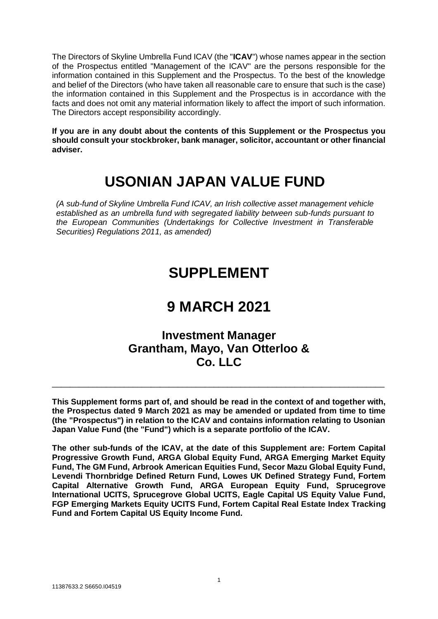The Directors of Skyline Umbrella Fund ICAV (the "**ICAV**") whose names appear in the section of the Prospectus entitled "Management of the ICAV" are the persons responsible for the information contained in this Supplement and the Prospectus. To the best of the knowledge and belief of the Directors (who have taken all reasonable care to ensure that such is the case) the information contained in this Supplement and the Prospectus is in accordance with the facts and does not omit any material information likely to affect the import of such information. The Directors accept responsibility accordingly.

**If you are in any doubt about the contents of this Supplement or the Prospectus you should consult your stockbroker, bank manager, solicitor, accountant or other financial adviser.**

# **USONIAN JAPAN VALUE FUND**

*(A sub-fund of Skyline Umbrella Fund ICAV, an Irish collective asset management vehicle established as an umbrella fund with segregated liability between sub-funds pursuant to the European Communities (Undertakings for Collective Investment in Transferable Securities) Regulations 2011, as amended)*

# **SUPPLEMENT**

# **9 MARCH 2021**

# **Investment Manager Grantham, Mayo, Van Otterloo & Co. LLC**

**This Supplement forms part of, and should be read in the context of and together with, the Prospectus dated 9 March 2021 as may be amended or updated from time to time (the "Prospectus") in relation to the ICAV and contains information relating to Usonian Japan Value Fund (the "Fund") which is a separate portfolio of the ICAV.**

\_\_\_\_\_\_\_\_\_\_\_\_\_\_\_\_\_\_\_\_\_\_\_\_\_\_\_\_\_\_\_\_\_\_\_\_\_\_\_\_\_\_\_\_\_\_\_\_\_\_\_\_\_\_\_\_\_\_\_\_\_\_\_\_\_\_\_\_\_\_\_\_\_\_

**The other sub-funds of the ICAV, at the date of this Supplement are: Fortem Capital Progressive Growth Fund, ARGA Global Equity Fund, ARGA Emerging Market Equity Fund, The GM Fund, Arbrook American Equities Fund, Secor Mazu Global Equity Fund, Levendi Thornbridge Defined Return Fund, Lowes UK Defined Strategy Fund, Fortem Capital Alternative Growth Fund, ARGA European Equity Fund, Sprucegrove International UCITS, Sprucegrove Global UCITS, Eagle Capital US Equity Value Fund, FGP Emerging Markets Equity UCITS Fund, Fortem Capital Real Estate Index Tracking Fund and Fortem Capital US Equity Income Fund.**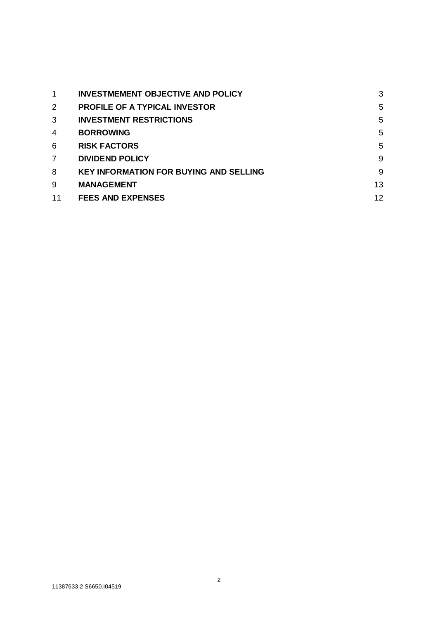| 1              | <b>INVESTMEMENT OBJECTIVE AND POLICY</b>      | 3  |
|----------------|-----------------------------------------------|----|
| 2              | <b>PROFILE OF A TYPICAL INVESTOR</b>          | 5  |
| 3              | <b>INVESTMENT RESTRICTIONS</b>                | 5  |
| 4              | <b>BORROWING</b>                              | 5  |
| 6              | <b>RISK FACTORS</b>                           | 5  |
| $\overline{7}$ | <b>DIVIDEND POLICY</b>                        | 9  |
| 8              | <b>KEY INFORMATION FOR BUYING AND SELLING</b> | 9  |
| 9              | <b>MANAGEMENT</b>                             | 13 |
| 11             | <b>FEES AND EXPENSES</b>                      | 12 |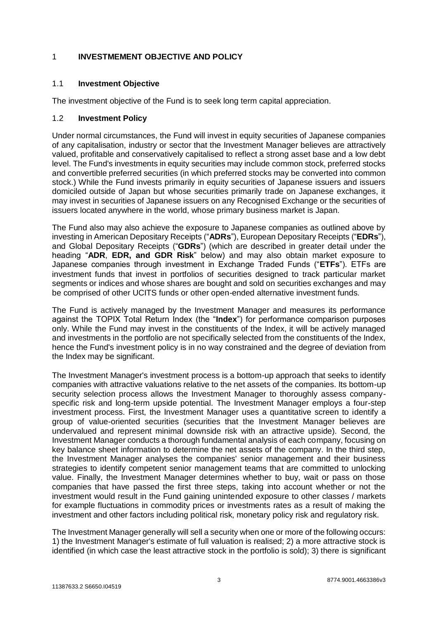# <span id="page-2-0"></span>1 **INVESTMEMENT OBJECTIVE AND POLICY**

# 1.1 **Investment Objective**

The investment objective of the Fund is to seek long term capital appreciation.

#### 1.2 **Investment Policy**

Under normal circumstances, the Fund will invest in equity securities of Japanese companies of any capitalisation, industry or sector that the Investment Manager believes are attractively valued, profitable and conservatively capitalised to reflect a strong asset base and a low debt level. The Fund's investments in equity securities may include common stock, preferred stocks and convertible preferred securities (in which preferred stocks may be converted into common stock.) While the Fund invests primarily in equity securities of Japanese issuers and issuers domiciled outside of Japan but whose securities primarily trade on Japanese exchanges, it may invest in securities of Japanese issuers on any Recognised Exchange or the securities of issuers located anywhere in the world, whose primary business market is Japan.

The Fund also may also achieve the exposure to Japanese companies as outlined above by investing in American Depositary Receipts ("**ADRs**"), European Depositary Receipts ("**EDRs**"), and Global Depositary Receipts ("**GDRs**") (which are described in greater detail under the heading "**ADR**, **EDR, and GDR Risk**" below) and may also obtain market exposure to Japanese companies through investment in Exchange Traded Funds ("**ETFs**"). ETFs are investment funds that invest in portfolios of securities designed to track particular market segments or indices and whose shares are bought and sold on securities exchanges and may be comprised of other UCITS funds or other open-ended alternative investment funds.

The Fund is actively managed by the Investment Manager and measures its performance against the TOPIX Total Return Index (the "**Index**") for performance comparison purposes only. While the Fund may invest in the constituents of the Index, it will be actively managed and investments in the portfolio are not specifically selected from the constituents of the Index, hence the Fund's investment policy is in no way constrained and the degree of deviation from the Index may be significant.

The Investment Manager's investment process is a bottom-up approach that seeks to identify companies with attractive valuations relative to the net assets of the companies. Its bottom-up security selection process allows the Investment Manager to thoroughly assess companyspecific risk and long-term upside potential. The Investment Manager employs a four-step investment process. First, the Investment Manager uses a quantitative screen to identify a group of value-oriented securities (securities that the Investment Manager believes are undervalued and represent minimal downside risk with an attractive upside). Second, the Investment Manager conducts a thorough fundamental analysis of each company, focusing on key balance sheet information to determine the net assets of the company. In the third step, the Investment Manager analyses the companies' senior management and their business strategies to identify competent senior management teams that are committed to unlocking value. Finally, the Investment Manager determines whether to buy, wait or pass on those companies that have passed the first three steps, taking into account whether or not the investment would result in the Fund gaining unintended exposure to other classes / markets for example fluctuations in commodity prices or investments rates as a result of making the investment and other factors including political risk, monetary policy risk and regulatory risk.

The Investment Manager generally will sell a security when one or more of the following occurs: 1) the Investment Manager's estimate of full valuation is realised; 2) a more attractive stock is identified (in which case the least attractive stock in the portfolio is sold); 3) there is significant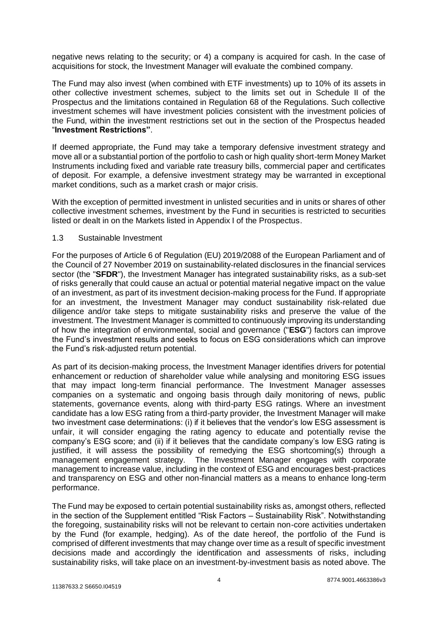negative news relating to the security; or 4) a company is acquired for cash. In the case of acquisitions for stock, the Investment Manager will evaluate the combined company.

The Fund may also invest (when combined with ETF investments) up to 10% of its assets in other collective investment schemes, subject to the limits set out in Schedule II of the Prospectus and the limitations contained in Regulation 68 of the Regulations. Such collective investment schemes will have investment policies consistent with the investment policies of the Fund, within the investment restrictions set out in the section of the Prospectus headed "**Investment Restrictions"**.

If deemed appropriate, the Fund may take a temporary defensive investment strategy and move all or a substantial portion of the portfolio to cash or high quality short-term Money Market Instruments including fixed and variable rate treasury bills, commercial paper and certificates of deposit. For example, a defensive investment strategy may be warranted in exceptional market conditions, such as a market crash or major crisis.

With the exception of permitted investment in unlisted securities and in units or shares of other collective investment schemes, investment by the Fund in securities is restricted to securities listed or dealt in on the Markets listed in Appendix I of the Prospectus.

## 1.3 Sustainable Investment

For the purposes of Article 6 of Regulation (EU) 2019/2088 of the European Parliament and of the Council of 27 November 2019 on sustainability‐related disclosures in the financial services sector (the "**SFDR**"), the Investment Manager has integrated sustainability risks, as a sub-set of risks generally that could cause an actual or potential material negative impact on the value of an investment, as part of its investment decision-making process for the Fund. If appropriate for an investment, the Investment Manager may conduct sustainability risk-related due diligence and/or take steps to mitigate sustainability risks and preserve the value of the investment. The Investment Manager is committed to continuously improving its understanding of how the integration of environmental, social and governance ("**ESG**") factors can improve the Fund's investment results and seeks to focus on ESG considerations which can improve the Fund's risk-adjusted return potential.

As part of its decision-making process, the Investment Manager identifies drivers for potential enhancement or reduction of shareholder value while analysing and monitoring ESG issues that may impact long-term financial performance. The Investment Manager assesses companies on a systematic and ongoing basis through daily monitoring of news, public statements, governance events, along with third-party ESG ratings. Where an investment candidate has a low ESG rating from a third-party provider, the Investment Manager will make two investment case determinations: (i) if it believes that the vendor's low ESG assessment is unfair, it will consider engaging the rating agency to educate and potentially revise the company's ESG score; and (ii) if it believes that the candidate company's low ESG rating is justified, it will assess the possibility of remedying the ESG shortcoming(s) through a management engagement strategy. The Investment Manager engages with corporate management to increase value, including in the context of ESG and encourages best-practices and transparency on ESG and other non-financial matters as a means to enhance long-term performance.

The Fund may be exposed to certain potential sustainability risks as, amongst others, reflected in the section of the Supplement entitled "Risk Factors – Sustainability Risk". Notwithstanding the foregoing, sustainability risks will not be relevant to certain non-core activities undertaken by the Fund (for example, hedging). As of the date hereof, the portfolio of the Fund is comprised of different investments that may change over time as a result of specific investment decisions made and accordingly the identification and assessments of risks, including sustainability risks, will take place on an investment-by-investment basis as noted above. The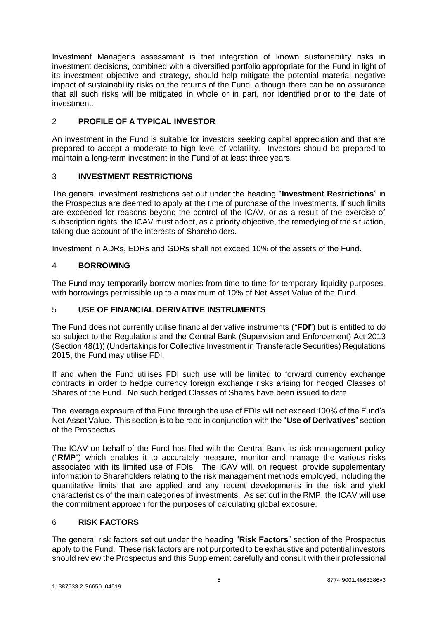Investment Manager's assessment is that integration of known sustainability risks in investment decisions, combined with a diversified portfolio appropriate for the Fund in light of its investment objective and strategy, should help mitigate the potential material negative impact of sustainability risks on the returns of the Fund, although there can be no assurance that all such risks will be mitigated in whole or in part, nor identified prior to the date of investment.

# <span id="page-4-0"></span>2 **PROFILE OF A TYPICAL INVESTOR**

An investment in the Fund is suitable for investors seeking capital appreciation and that are prepared to accept a moderate to high level of volatility. Investors should be prepared to maintain a long-term investment in the Fund of at least three years.

# <span id="page-4-1"></span>3 **INVESTMENT RESTRICTIONS**

The general investment restrictions set out under the heading "**Investment Restrictions**" in the Prospectus are deemed to apply at the time of purchase of the Investments. If such limits are exceeded for reasons beyond the control of the ICAV, or as a result of the exercise of subscription rights, the ICAV must adopt, as a priority objective, the remedying of the situation, taking due account of the interests of Shareholders.

Investment in ADRs, EDRs and GDRs shall not exceed 10% of the assets of the Fund.

# <span id="page-4-2"></span>4 **BORROWING**

The Fund may temporarily borrow monies from time to time for temporary liquidity purposes, with borrowings permissible up to a maximum of 10% of Net Asset Value of the Fund.

# 5 **USE OF FINANCIAL DERIVATIVE INSTRUMENTS**

The Fund does not currently utilise financial derivative instruments ("**FDI**") but is entitled to do so subject to the Regulations and the Central Bank (Supervision and Enforcement) Act 2013 (Section 48(1)) (Undertakings for Collective Investment in Transferable Securities) Regulations 2015, the Fund may utilise FDI.

If and when the Fund utilises FDI such use will be limited to forward currency exchange contracts in order to hedge currency foreign exchange risks arising for hedged Classes of Shares of the Fund. No such hedged Classes of Shares have been issued to date.

The leverage exposure of the Fund through the use of FDIs will not exceed 100% of the Fund's Net Asset Value. This section is to be read in conjunction with the "**Use of Derivatives**" section of the Prospectus.

The ICAV on behalf of the Fund has filed with the Central Bank its risk management policy ("**RMP**") which enables it to accurately measure, monitor and manage the various risks associated with its limited use of FDIs. The ICAV will, on request, provide supplementary information to Shareholders relating to the risk management methods employed, including the quantitative limits that are applied and any recent developments in the risk and yield characteristics of the main categories of investments. As set out in the RMP, the ICAV will use the commitment approach for the purposes of calculating global exposure.

#### <span id="page-4-3"></span>6 **RISK FACTORS**

The general risk factors set out under the heading "**Risk Factors**" section of the Prospectus apply to the Fund. These risk factors are not purported to be exhaustive and potential investors should review the Prospectus and this Supplement carefully and consult with their professional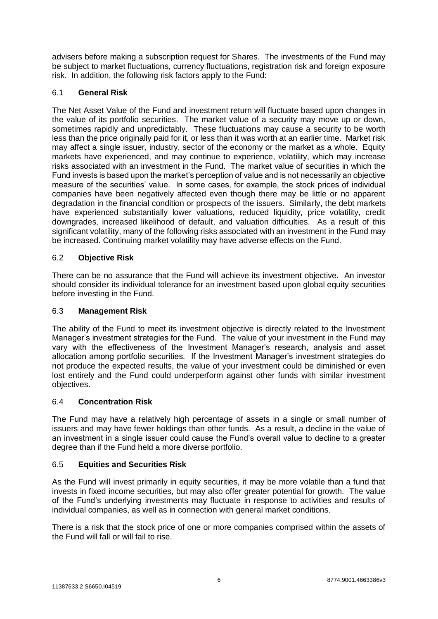advisers before making a subscription request for Shares. The investments of the Fund may be subject to market fluctuations, currency fluctuations, registration risk and foreign exposure risk. In addition, the following risk factors apply to the Fund:

# 6.1 **General Risk**

The Net Asset Value of the Fund and investment return will fluctuate based upon changes in the value of its portfolio securities. The market value of a security may move up or down, sometimes rapidly and unpredictably. These fluctuations may cause a security to be worth less than the price originally paid for it, or less than it was worth at an earlier time. Market risk may affect a single issuer, industry, sector of the economy or the market as a whole. Equity markets have experienced, and may continue to experience, volatility, which may increase risks associated with an investment in the Fund. The market value of securities in which the Fund invests is based upon the market's perception of value and is not necessarily an objective measure of the securities' value. In some cases, for example, the stock prices of individual companies have been negatively affected even though there may be little or no apparent degradation in the financial condition or prospects of the issuers. Similarly, the debt markets have experienced substantially lower valuations, reduced liquidity, price volatility, credit downgrades, increased likelihood of default, and valuation difficulties. As a result of this significant volatility, many of the following risks associated with an investment in the Fund may be increased. Continuing market volatility may have adverse effects on the Fund.

# 6.2 **Objective Risk**

There can be no assurance that the Fund will achieve its investment objective. An investor should consider its individual tolerance for an investment based upon global equity securities before investing in the Fund.

## 6.3 **Management Risk**

The ability of the Fund to meet its investment objective is directly related to the Investment Manager's investment strategies for the Fund. The value of your investment in the Fund may vary with the effectiveness of the Investment Manager's research, analysis and asset allocation among portfolio securities. If the Investment Manager's investment strategies do not produce the expected results, the value of your investment could be diminished or even lost entirely and the Fund could underperform against other funds with similar investment objectives.

#### 6.4 **Concentration Risk**

The Fund may have a relatively high percentage of assets in a single or small number of issuers and may have fewer holdings than other funds. As a result, a decline in the value of an investment in a single issuer could cause the Fund's overall value to decline to a greater degree than if the Fund held a more diverse portfolio.

#### 6.5 **Equities and Securities Risk**

As the Fund will invest primarily in equity securities, it may be more volatile than a fund that invests in fixed income securities, but may also offer greater potential for growth. The value of the Fund's underlying investments may fluctuate in response to activities and results of individual companies, as well as in connection with general market conditions.

There is a risk that the stock price of one or more companies comprised within the assets of the Fund will fall or will fail to rise.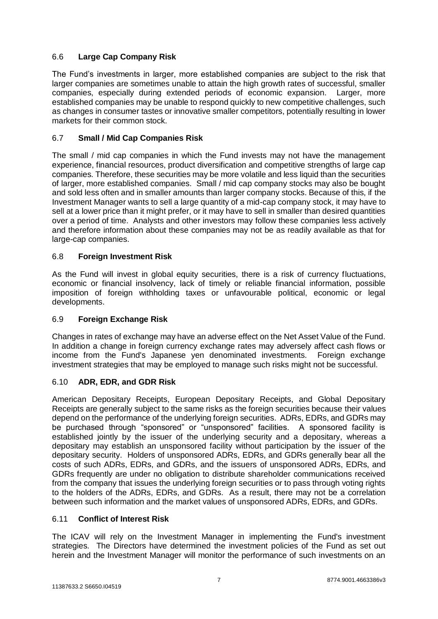# 6.6 **Large Cap Company Risk**

The Fund's investments in larger, more established companies are subject to the risk that larger companies are sometimes unable to attain the high growth rates of successful, smaller companies, especially during extended periods of economic expansion. Larger, more established companies may be unable to respond quickly to new competitive challenges, such as changes in consumer tastes or innovative smaller competitors, potentially resulting in lower markets for their common stock.

# 6.7 **Small / Mid Cap Companies Risk**

The small / mid cap companies in which the Fund invests may not have the management experience, financial resources, product diversification and competitive strengths of large cap companies. Therefore, these securities may be more volatile and less liquid than the securities of larger, more established companies. Small / mid cap company stocks may also be bought and sold less often and in smaller amounts than larger company stocks. Because of this, if the Investment Manager wants to sell a large quantity of a mid-cap company stock, it may have to sell at a lower price than it might prefer, or it may have to sell in smaller than desired quantities over a period of time. Analysts and other investors may follow these companies less actively and therefore information about these companies may not be as readily available as that for large-cap companies.

# 6.8 **Foreign Investment Risk**

As the Fund will invest in global equity securities, there is a risk of currency fluctuations, economic or financial insolvency, lack of timely or reliable financial information, possible imposition of foreign withholding taxes or unfavourable political, economic or legal developments.

#### 6.9 **Foreign Exchange Risk**

Changes in rates of exchange may have an adverse effect on the Net Asset Value of the Fund. In addition a change in foreign currency exchange rates may adversely affect cash flows or income from the Fund's Japanese yen denominated investments. Foreign exchange investment strategies that may be employed to manage such risks might not be successful.

# 6.10 **ADR, EDR, and GDR Risk**

American Depositary Receipts, European Depositary Receipts, and Global Depositary Receipts are generally subject to the same risks as the foreign securities because their values depend on the performance of the underlying foreign securities. ADRs, EDRs, and GDRs may be purchased through "sponsored" or "unsponsored" facilities. A sponsored facility is established jointly by the issuer of the underlying security and a depositary, whereas a depositary may establish an unsponsored facility without participation by the issuer of the depositary security. Holders of unsponsored ADRs, EDRs, and GDRs generally bear all the costs of such ADRs, EDRs, and GDRs, and the issuers of unsponsored ADRs, EDRs, and GDRs frequently are under no obligation to distribute shareholder communications received from the company that issues the underlying foreign securities or to pass through voting rights to the holders of the ADRs, EDRs, and GDRs. As a result, there may not be a correlation between such information and the market values of unsponsored ADRs, EDRs, and GDRs.

## 6.11 **Conflict of Interest Risk**

The ICAV will rely on the Investment Manager in implementing the Fund's investment strategies. The Directors have determined the investment policies of the Fund as set out herein and the Investment Manager will monitor the performance of such investments on an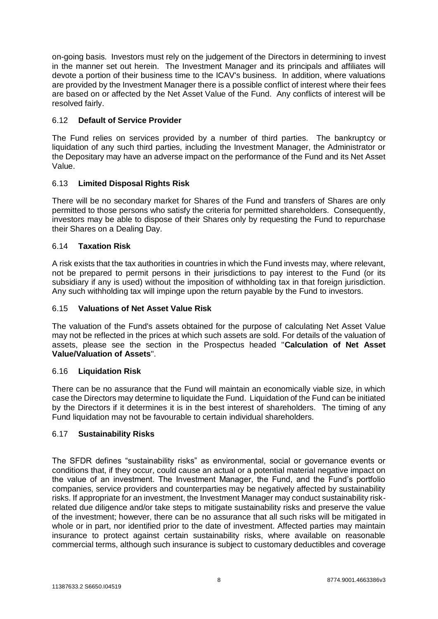on-going basis. Investors must rely on the judgement of the Directors in determining to invest in the manner set out herein. The Investment Manager and its principals and affiliates will devote a portion of their business time to the ICAV's business. In addition, where valuations are provided by the Investment Manager there is a possible conflict of interest where their fees are based on or affected by the Net Asset Value of the Fund. Any conflicts of interest will be resolved fairly.

# 6.12 **Default of Service Provider**

The Fund relies on services provided by a number of third parties. The bankruptcy or liquidation of any such third parties, including the Investment Manager, the Administrator or the Depositary may have an adverse impact on the performance of the Fund and its Net Asset Value.

# 6.13 **Limited Disposal Rights Risk**

There will be no secondary market for Shares of the Fund and transfers of Shares are only permitted to those persons who satisfy the criteria for permitted shareholders. Consequently, investors may be able to dispose of their Shares only by requesting the Fund to repurchase their Shares on a Dealing Day.

#### 6.14 **Taxation Risk**

A risk exists that the tax authorities in countries in which the Fund invests may, where relevant, not be prepared to permit persons in their jurisdictions to pay interest to the Fund (or its subsidiary if any is used) without the imposition of withholding tax in that foreign jurisdiction. Any such withholding tax will impinge upon the return payable by the Fund to investors.

#### 6.15 **Valuations of Net Asset Value Risk**

The valuation of the Fund's assets obtained for the purpose of calculating Net Asset Value may not be reflected in the prices at which such assets are sold. For details of the valuation of assets, please see the section in the Prospectus headed "**Calculation of Net Asset Value/Valuation of Assets**".

#### 6.16 **Liquidation Risk**

There can be no assurance that the Fund will maintain an economically viable size, in which case the Directors may determine to liquidate the Fund. Liquidation of the Fund can be initiated by the Directors if it determines it is in the best interest of shareholders. The timing of any Fund liquidation may not be favourable to certain individual shareholders.

#### 6.17 **Sustainability Risks**

The SFDR defines "sustainability risks" as environmental, social or governance events or conditions that, if they occur, could cause an actual or a potential material negative impact on the value of an investment. The Investment Manager, the Fund, and the Fund's portfolio companies, service providers and counterparties may be negatively affected by sustainability risks. If appropriate for an investment, the Investment Manager may conduct sustainability riskrelated due diligence and/or take steps to mitigate sustainability risks and preserve the value of the investment; however, there can be no assurance that all such risks will be mitigated in whole or in part, nor identified prior to the date of investment. Affected parties may maintain insurance to protect against certain sustainability risks, where available on reasonable commercial terms, although such insurance is subject to customary deductibles and coverage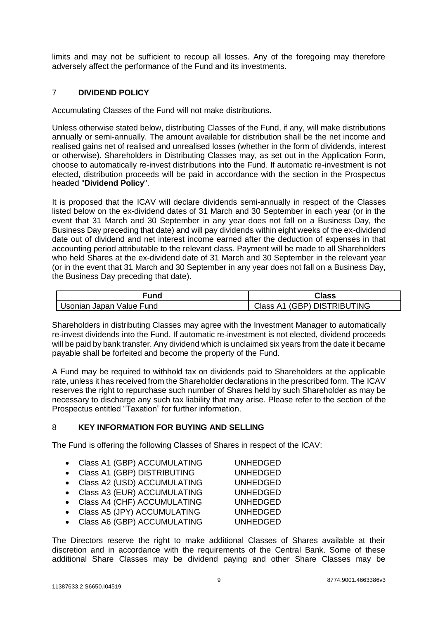limits and may not be sufficient to recoup all losses. Any of the foregoing may therefore adversely affect the performance of the Fund and its investments.

# <span id="page-8-0"></span>7 **DIVIDEND POLICY**

Accumulating Classes of the Fund will not make distributions.

Unless otherwise stated below, distributing Classes of the Fund, if any, will make distributions annually or semi-annually. The amount available for distribution shall be the net income and realised gains net of realised and unrealised losses (whether in the form of dividends, interest or otherwise). Shareholders in Distributing Classes may, as set out in the Application Form, choose to automatically re-invest distributions into the Fund. If automatic re-investment is not elected, distribution proceeds will be paid in accordance with the section in the Prospectus headed "**Dividend Policy**".

It is proposed that the ICAV will declare dividends semi-annually in respect of the Classes listed below on the ex-dividend dates of 31 March and 30 September in each year (or in the event that 31 March and 30 September in any year does not fall on a Business Day, the Business Day preceding that date) and will pay dividends within eight weeks of the ex-dividend date out of dividend and net interest income earned after the deduction of expenses in that accounting period attributable to the relevant class. Payment will be made to all Shareholders who held Shares at the ex-dividend date of 31 March and 30 September in the relevant year (or in the event that 31 March and 30 September in any year does not fall on a Business Day, the Business Day preceding that date).

| Fund                     | Class                          |
|--------------------------|--------------------------------|
| Usonian Japan Value Fund | (GBP) DISTRIBUTING<br>Class A1 |

Shareholders in distributing Classes may agree with the Investment Manager to automatically re-invest dividends into the Fund. If automatic re-investment is not elected, dividend proceeds will be paid by bank transfer. Any dividend which is unclaimed six years from the date it became payable shall be forfeited and become the property of the Fund.

A Fund may be required to withhold tax on dividends paid to Shareholders at the applicable rate, unless it has received from the Shareholder declarations in the prescribed form. The ICAV reserves the right to repurchase such number of Shares held by such Shareholder as may be necessary to discharge any such tax liability that may arise. Please refer to the section of the Prospectus entitled "Taxation" for further information.

# <span id="page-8-1"></span>8 **KEY INFORMATION FOR BUYING AND SELLING**

The Fund is offering the following Classes of Shares in respect of the ICAV:

- Class A1 (GBP) ACCUMULATING UNHEDGED
- Class A1 (GBP) DISTRIBUTING UNHEDGED
- Class A2 (USD) ACCUMULATING UNHEDGED
- Class A3 (EUR) ACCUMULATING UNHEDGED
- Class A4 (CHF) ACCUMULATING UNHEDGED
- Class A5 (JPY) ACCUMULATING UNHEDGED
- Class A6 (GBP) ACCUMULATING UNHEDGED

The Directors reserve the right to make additional Classes of Shares available at their discretion and in accordance with the requirements of the Central Bank. Some of these additional Share Classes may be dividend paying and other Share Classes may be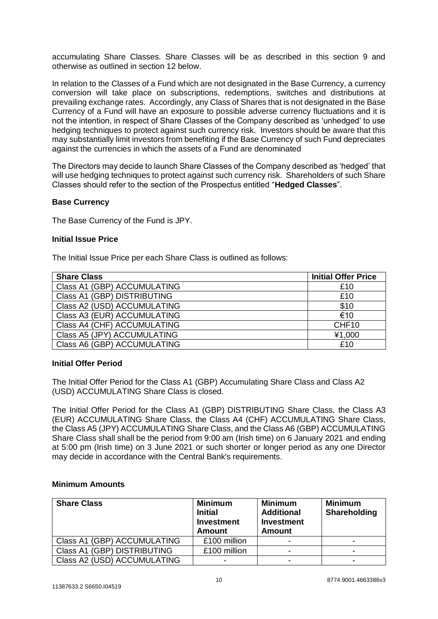accumulating Share Classes. Share Classes will be as described in this section 9 and otherwise as outlined in section 12 below.

In relation to the Classes of a Fund which are not designated in the Base Currency, a currency conversion will take place on subscriptions, redemptions, switches and distributions at prevailing exchange rates. Accordingly, any Class of Shares that is not designated in the Base Currency of a Fund will have an exposure to possible adverse currency fluctuations and it is not the intention, in respect of Share Classes of the Company described as 'unhedged' to use hedging techniques to protect against such currency risk. Investors should be aware that this may substantially limit investors from benefiting if the Base Currency of such Fund depreciates against the currencies in which the assets of a Fund are denominated

The Directors may decide to launch Share Classes of the Company described as 'hedged' that will use hedging techniques to protect against such currency risk. Shareholders of such Share Classes should refer to the section of the Prospectus entitled "**Hedged Classes**".

#### **Base Currency**

The Base Currency of the Fund is JPY.

#### **Initial Issue Price**

The Initial Issue Price per each Share Class is outlined as follows:

| <b>Share Class</b>          | <b>Initial Offer Price</b> |
|-----------------------------|----------------------------|
| Class A1 (GBP) ACCUMULATING | £10                        |
| Class A1 (GBP) DISTRIBUTING | £10                        |
| Class A2 (USD) ACCUMULATING | \$10                       |
| Class A3 (EUR) ACCUMULATING | €10                        |
| Class A4 (CHF) ACCUMULATING | CHF <sub>10</sub>          |
| Class A5 (JPY) ACCUMULATING | ¥1,000                     |
| Class A6 (GBP) ACCUMULATING | £10                        |

#### **Initial Offer Period**

The Initial Offer Period for the Class A1 (GBP) Accumulating Share Class and Class A2 (USD) ACCUMULATING Share Class is closed.

The Initial Offer Period for the Class A1 (GBP) DISTRIBUTING Share Class, the Class A3 (EUR) ACCUMULATING Share Class, the Class A4 (CHF) ACCUMULATING Share Class, the Class A5 (JPY) ACCUMULATING Share Class, and the Class A6 (GBP) ACCUMULATING Share Class shall shall be the period from 9:00 am (Irish time) on 6 January 2021 and ending at 5:00 pm (Irish time) on 3 June 2021 or such shorter or longer period as any one Director may decide in accordance with the Central Bank's requirements.

#### **Minimum Amounts**

| <b>Share Class</b>          | <b>Minimum</b><br><b>Initial</b><br><b>Investment</b><br><b>Amount</b> | <b>Minimum</b><br><b>Additional</b><br><b>Investment</b><br><b>Amount</b> | <b>Minimum</b><br>Shareholding |
|-----------------------------|------------------------------------------------------------------------|---------------------------------------------------------------------------|--------------------------------|
| Class A1 (GBP) ACCUMULATING | £100 million                                                           |                                                                           | -                              |
| Class A1 (GBP) DISTRIBUTING | £100 million                                                           |                                                                           |                                |
| Class A2 (USD) ACCUMULATING |                                                                        |                                                                           | $\overline{\phantom{0}}$       |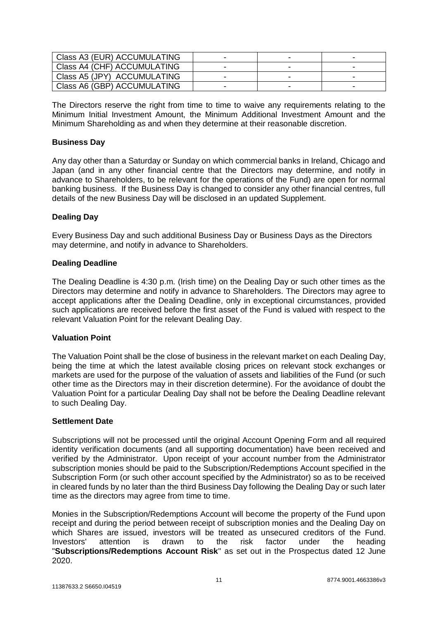| Class A3 (EUR) ACCUMULATING |  |  |
|-----------------------------|--|--|
| Class A4 (CHF) ACCUMULATING |  |  |
| Class A5 (JPY) ACCUMULATING |  |  |
| Class A6 (GBP) ACCUMULATING |  |  |

The Directors reserve the right from time to time to waive any requirements relating to the Minimum Initial Investment Amount, the Minimum Additional Investment Amount and the Minimum Shareholding as and when they determine at their reasonable discretion.

#### **Business Day**

Any day other than a Saturday or Sunday on which commercial banks in Ireland, Chicago and Japan (and in any other financial centre that the Directors may determine, and notify in advance to Shareholders, to be relevant for the operations of the Fund) are open for normal banking business. If the Business Day is changed to consider any other financial centres, full details of the new Business Day will be disclosed in an updated Supplement.

#### **Dealing Day**

Every Business Day and such additional Business Day or Business Days as the Directors may determine, and notify in advance to Shareholders.

#### **Dealing Deadline**

The Dealing Deadline is 4:30 p.m. (Irish time) on the Dealing Day or such other times as the Directors may determine and notify in advance to Shareholders. The Directors may agree to accept applications after the Dealing Deadline, only in exceptional circumstances, provided such applications are received before the first asset of the Fund is valued with respect to the relevant Valuation Point for the relevant Dealing Day.

#### **Valuation Point**

The Valuation Point shall be the close of business in the relevant market on each Dealing Day, being the time at which the latest available closing prices on relevant stock exchanges or markets are used for the purpose of the valuation of assets and liabilities of the Fund (or such other time as the Directors may in their discretion determine). For the avoidance of doubt the Valuation Point for a particular Dealing Day shall not be before the Dealing Deadline relevant to such Dealing Day.

#### **Settlement Date**

Subscriptions will not be processed until the original Account Opening Form and all required identity verification documents (and all supporting documentation) have been received and verified by the Administrator. Upon receipt of your account number from the Administrator subscription monies should be paid to the Subscription/Redemptions Account specified in the Subscription Form (or such other account specified by the Administrator) so as to be received in cleared funds by no later than the third Business Day following the Dealing Day or such later time as the directors may agree from time to time.

Monies in the Subscription/Redemptions Account will become the property of the Fund upon receipt and during the period between receipt of subscription monies and the Dealing Day on which Shares are issued, investors will be treated as unsecured creditors of the Fund. Investors' attention is drawn to the risk factor under the heading "**Subscriptions/Redemptions Account Risk**" as set out in the Prospectus dated 12 June 2020.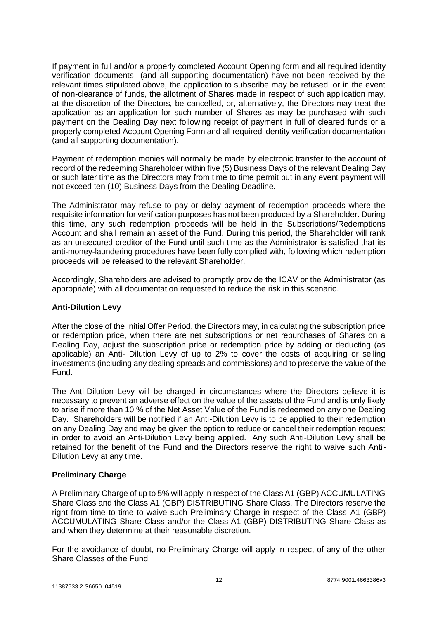If payment in full and/or a properly completed Account Opening form and all required identity verification documents (and all supporting documentation) have not been received by the relevant times stipulated above, the application to subscribe may be refused, or in the event of non-clearance of funds, the allotment of Shares made in respect of such application may, at the discretion of the Directors, be cancelled, or, alternatively, the Directors may treat the application as an application for such number of Shares as may be purchased with such payment on the Dealing Day next following receipt of payment in full of cleared funds or a properly completed Account Opening Form and all required identity verification documentation (and all supporting documentation).

Payment of redemption monies will normally be made by electronic transfer to the account of record of the redeeming Shareholder within five (5) Business Days of the relevant Dealing Day or such later time as the Directors may from time to time permit but in any event payment will not exceed ten (10) Business Days from the Dealing Deadline.

The Administrator may refuse to pay or delay payment of redemption proceeds where the requisite information for verification purposes has not been produced by a Shareholder. During this time, any such redemption proceeds will be held in the Subscriptions/Redemptions Account and shall remain an asset of the Fund. During this period, the Shareholder will rank as an unsecured creditor of the Fund until such time as the Administrator is satisfied that its anti-money-laundering procedures have been fully complied with, following which redemption proceeds will be released to the relevant Shareholder.

Accordingly, Shareholders are advised to promptly provide the ICAV or the Administrator (as appropriate) with all documentation requested to reduce the risk in this scenario.

#### **Anti-Dilution Levy**

After the close of the Initial Offer Period, the Directors may, in calculating the subscription price or redemption price, when there are net subscriptions or net repurchases of Shares on a Dealing Day, adjust the subscription price or redemption price by adding or deducting (as applicable) an Anti- Dilution Levy of up to 2% to cover the costs of acquiring or selling investments (including any dealing spreads and commissions) and to preserve the value of the Fund.

The Anti-Dilution Levy will be charged in circumstances where the Directors believe it is necessary to prevent an adverse effect on the value of the assets of the Fund and is only likely to arise if more than 10 % of the Net Asset Value of the Fund is redeemed on any one Dealing Day. Shareholders will be notified if an Anti-Dilution Levy is to be applied to their redemption on any Dealing Day and may be given the option to reduce or cancel their redemption request in order to avoid an Anti-Dilution Levy being applied. Any such Anti-Dilution Levy shall be retained for the benefit of the Fund and the Directors reserve the right to waive such Anti-Dilution Levy at any time.

#### **Preliminary Charge**

A Preliminary Charge of up to 5% will apply in respect of the Class A1 (GBP) ACCUMULATING Share Class and the Class A1 (GBP) DISTRIBUTING Share Class. The Directors reserve the right from time to time to waive such Preliminary Charge in respect of the Class A1 (GBP) ACCUMULATING Share Class and/or the Class A1 (GBP) DISTRIBUTING Share Class as and when they determine at their reasonable discretion.

For the avoidance of doubt, no Preliminary Charge will apply in respect of any of the other Share Classes of the Fund.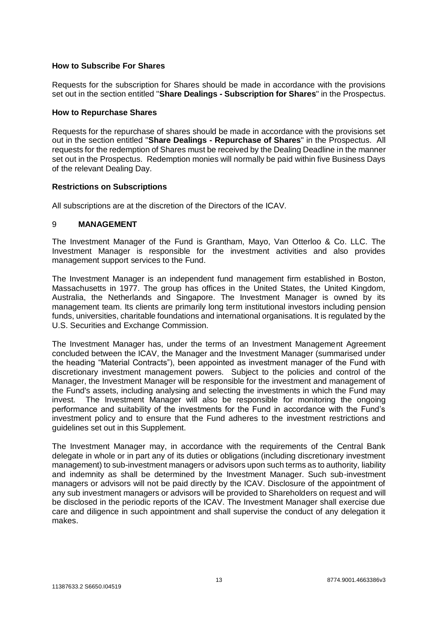#### **How to Subscribe For Shares**

Requests for the subscription for Shares should be made in accordance with the provisions set out in the section entitled "**Share Dealings - Subscription for Shares**" in the Prospectus.

#### **How to Repurchase Shares**

Requests for the repurchase of shares should be made in accordance with the provisions set out in the section entitled "**Share Dealings - Repurchase of Shares**" in the Prospectus. All requests for the redemption of Shares must be received by the Dealing Deadline in the manner set out in the Prospectus. Redemption monies will normally be paid within five Business Days of the relevant Dealing Day.

#### **Restrictions on Subscriptions**

All subscriptions are at the discretion of the Directors of the ICAV.

#### <span id="page-12-0"></span>9 **MANAGEMENT**

The Investment Manager of the Fund is Grantham, Mayo, Van Otterloo & Co. LLC. The Investment Manager is responsible for the investment activities and also provides management support services to the Fund.

The Investment Manager is an independent fund management firm established in Boston, Massachusetts in 1977. The group has offices in the United States, the United Kingdom, Australia, the Netherlands and Singapore. The Investment Manager is owned by its management team. Its clients are primarily long term institutional investors including pension funds, universities, charitable foundations and international organisations. It is regulated by the U.S. Securities and Exchange Commission.

The Investment Manager has, under the terms of an Investment Management Agreement concluded between the ICAV, the Manager and the Investment Manager (summarised under the heading "Material Contracts"), been appointed as investment manager of the Fund with discretionary investment management powers. Subject to the policies and control of the Manager, the Investment Manager will be responsible for the investment and management of the Fund's assets, including analysing and selecting the investments in which the Fund may invest. The Investment Manager will also be responsible for monitoring the ongoing performance and suitability of the investments for the Fund in accordance with the Fund's investment policy and to ensure that the Fund adheres to the investment restrictions and guidelines set out in this Supplement.

The Investment Manager may, in accordance with the requirements of the Central Bank delegate in whole or in part any of its duties or obligations (including discretionary investment management) to sub-investment managers or advisors upon such terms as to authority, liability and indemnity as shall be determined by the Investment Manager. Such sub-investment managers or advisors will not be paid directly by the ICAV. Disclosure of the appointment of any sub investment managers or advisors will be provided to Shareholders on request and will be disclosed in the periodic reports of the ICAV. The Investment Manager shall exercise due care and diligence in such appointment and shall supervise the conduct of any delegation it makes.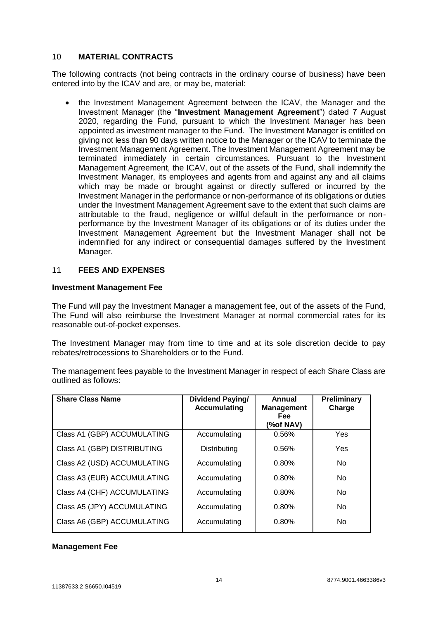#### 10 **MATERIAL CONTRACTS**

The following contracts (not being contracts in the ordinary course of business) have been entered into by the ICAV and are, or may be, material:

 the Investment Management Agreement between the ICAV, the Manager and the Investment Manager (the "**Investment Management Agreement**") dated 7 August 2020, regarding the Fund, pursuant to which the Investment Manager has been appointed as investment manager to the Fund. The Investment Manager is entitled on giving not less than 90 days written notice to the Manager or the ICAV to terminate the Investment Management Agreement. The Investment Management Agreement may be terminated immediately in certain circumstances. Pursuant to the Investment Management Agreement, the ICAV, out of the assets of the Fund, shall indemnify the Investment Manager, its employees and agents from and against any and all claims which may be made or brought against or directly suffered or incurred by the Investment Manager in the performance or non-performance of its obligations or duties under the Investment Management Agreement save to the extent that such claims are attributable to the fraud, negligence or willful default in the performance or nonperformance by the Investment Manager of its obligations or of its duties under the Investment Management Agreement but the Investment Manager shall not be indemnified for any indirect or consequential damages suffered by the Investment Manager.

#### <span id="page-13-0"></span>11 **FEES AND EXPENSES**

#### **Investment Management Fee**

The Fund will pay the Investment Manager a management fee, out of the assets of the Fund, The Fund will also reimburse the Investment Manager at normal commercial rates for its reasonable out-of-pocket expenses.

The Investment Manager may from time to time and at its sole discretion decide to pay rebates/retrocessions to Shareholders or to the Fund.

The management fees payable to the Investment Manager in respect of each Share Class are outlined as follows:

| <b>Share Class Name</b>     | Dividend Paying/<br><b>Accumulating</b> | Annual<br><b>Management</b><br><b>Fee</b><br>(%of NAV) | Preliminary<br>Charge |
|-----------------------------|-----------------------------------------|--------------------------------------------------------|-----------------------|
| Class A1 (GBP) ACCUMULATING | Accumulating                            | 0.56%                                                  | Yes                   |
| Class A1 (GBP) DISTRIBUTING | Distributing                            | 0.56%                                                  | Yes                   |
| Class A2 (USD) ACCUMULATING | Accumulating                            | 0.80%                                                  | <b>No</b>             |
| Class A3 (EUR) ACCUMULATING | Accumulating                            | 0.80%                                                  | <b>No</b>             |
| Class A4 (CHF) ACCUMULATING | Accumulating                            | 0.80%                                                  | <b>No</b>             |
| Class A5 (JPY) ACCUMULATING | Accumulating                            | 0.80%                                                  | <b>No</b>             |
| Class A6 (GBP) ACCUMULATING | Accumulating                            | 0.80%                                                  | <b>No</b>             |

#### **Management Fee**